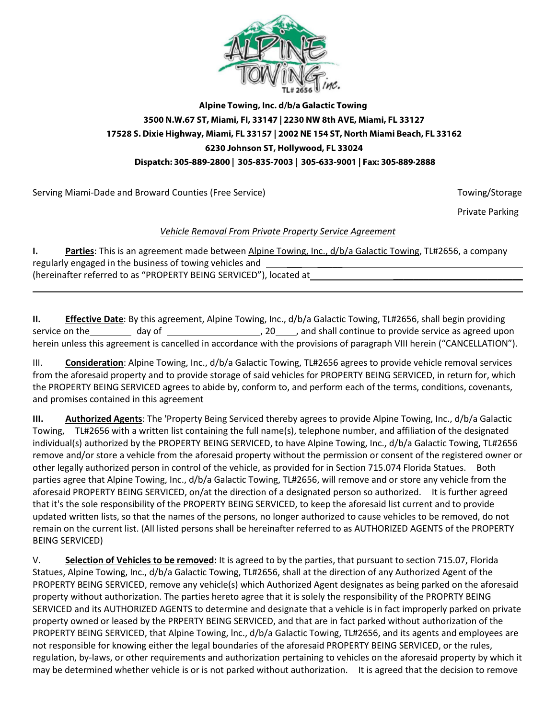

## **Alpine Towing, Inc. d/b/a Galactic Towing 3500 N.W.67 ST, Miami, FI, 33147 | 2230 NW 8th AVE, Miami, FL 33127 17528 S. Dixie Highway, Miami, FL 33157 | 2002 NE 154 ST, North Miami Beach, FL 33162 6230 Johnson ST, Hollywood, FL 33024 Dispatch: 305-889-2800 | 305-835-7003 | 305-633-9001 | Fax: 305·889·2888**

Serving Miami-Dade and Broward Counties (Free Service) The Counties of the Service of the Service of Towing/Storage

\_\_\_\_\_\_\_\_\_\_\_\_\_\_\_\_\_\_\_\_\_\_\_\_\_\_\_\_\_\_\_\_\_\_\_

Private Parking

## *Vehicle Removal From Private Property Service Agreement*

**I. Parties**: This is an agreement made between Alpine Towing, Inc., d/b/a Galactic Towing, TL#2656, a company regularly engaged in the business of towing vehicles and (hereinafter referred to as "PROPERTY BEING SERVICED"), located at

**II. Effective Date**: By this agreement, Alpine Towing, Inc., d/b/a Galactic Towing, TL#2656, shall begin providing service on the day of , 20 , and shall continue to provide service as agreed upon herein unless this agreement is cancelled in accordance with the provisions of paragraph VIII herein ("CANCELLATION").

III. **Consideration**: Alpine Towing, Inc., d/b/a Galactic Towing, TL#2656 agrees to provide vehicle removal services from the aforesaid property and to provide storage of said vehicles for PROPERTY BEING SERVICED, in return for, which the PROPERTY BEING SERVICED agrees to abide by, conform to, and perform each of the terms, conditions, covenants, and promises contained in this agreement

**III. Authorized Agents**: The 'Property Being Serviced thereby agrees to provide Alpine Towing, Inc., d/b/a Galactic Towing, TL#2656 with a written list containing the full name(s), telephone number, and affiliation of the designated individual(s) authorized by the PROPERTY BEING SERVICED, to have Alpine Towing, Inc., d/b/a Galactic Towing, TL#2656 remove and/or store a vehicle from the aforesaid property without the permission or consent of the registered owner or other legally authorized person in control of the vehicle, as provided for in Section 715.074 Florida Statues. Both parties agree that Alpine Towing, Inc., d/b/a Galactic Towing, TL#2656, will remove and or store any vehicle from the aforesaid PROPERTY BEING SERVICED, on/at the direction of a designated person so authorized. It is further agreed that it's the sole responsibility of the PROPERTY BEING SERVICED, to keep the aforesaid list current and to provide updated written lists, so that the names of the persons, no longer authorized to cause vehicles to be removed, do not remain on the current list. (All listed persons shall be hereinafter referred to as AUTHORIZED AGENTS of the PROPERTY BEING SERVICED)

V. **Selection of Vehicles to be removed:** It is agreed to by the parties, that pursuant to section 715.07, Florida Statues, Alpine Towing, Inc., d/b/a Galactic Towing, TL#2656, shall at the direction of any Authorized Agent of the PROPERTY BEING SERVICED, remove any vehicle(s) which Authorized Agent designates as being parked on the aforesaid property without authorization. The parties hereto agree that it is solely the responsibility of the PROPRTY BEING SERVICED and its AUTHORIZED AGENTS to determine and designate that a vehicle is in fact improperly parked on private property owned or leased by the PRPERTY BEING SERVICED, and that are in fact parked without authorization of the PROPERTY BEING SERVICED, that Alpine Towing, lnc., d/b/a Galactic Towing, TL#2656, and its agents and employees are not responsible for knowing either the legal boundaries of the aforesaid PROPERTY BEING SERVICED, or the rules, regulation, by-laws, or other requirements and authorization pertaining to vehicles on the aforesaid property by which it may be determined whether vehicle is or is not parked without authorization. It is agreed that the decision to remove